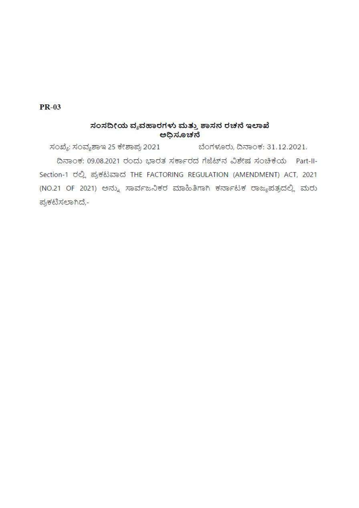## **PR-03**

## ಸಂಸದೀಯ ವ್ಯವಹಾರಗಳು ಮತ್ತು ಶಾಸನ ರಚನೆ ಇಲಾಖೆ ಅಧಿಸೂಚನೆ

ಬೆಂಗಳೂರು, ದಿನಾಂಕ: 31.12.2021. ಸಂಖ್ಯೆ: ಸಂವ್ಯಶಾಇ 25 ಕೇಶಾಪ್ರ 2021 ದಿನಾಂಕ: 09.08.2021 ರಂದು ಭಾರತ ಸರ್ಕಾರದ ಗೆಜೆಟ್ ನವಿಶೇಷ ಸಂಚಿಕೆಯ Part-II-Section-1 ರಲ್ಲಿ ಪ್ರಕಟವಾದ THE FACTORING REGULATION (AMENDMENT) ACT, 2021 (NO.21 OF 2021) ಅನ್ನು ಸಾರ್ವಜನಿಕರ ಮಾಹಿತಿಗಾಗಿ ಕರ್ನಾಟಕ ರಾಜ್ಯಪತ್ರದಲ್ಲಿ ಮರು ಪ್ರಕಟಿಸಲಾಗಿದೆ,-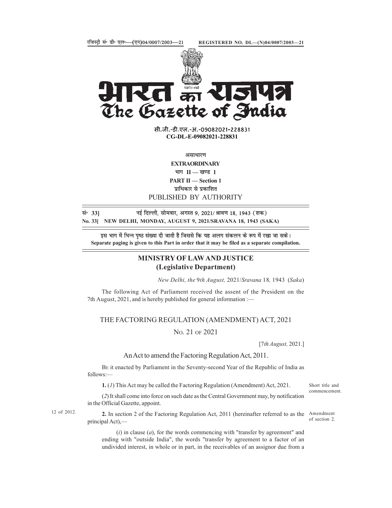

**PART 11 – SECISTERED NO. DL** (N)04/0007/2003-21<br> **PART 12 – SECTION 2008/2021-228831**<br> **PART 12 – SECTION 2021-228831**<br>
G-DL-E-09082021-228831<br>
EXTRAORDINARY<br>
WE EXTRAORDINARY<br>
WE EXTRAORDINARY<br>
WE EXTRAORDINARY<br>
WE THE

सी.जी.-डी.एल.-अ.-09082021-228831 CG-DL-E-09082021-228831

असाधारण

EXTRAORDINARY

भाग $II$  — खण्ड 1

प्राधिकार से प्रकाशित PUBLISHED BY AUTHORITY

lañ 33] ubZ fnYyh] lkseokj] vxLr 9] 2021@Jko.k 18] 1943 ¼'kd½ No. 33] NEW DELHI, MONDAY, AUGUST 9, 2021/SRAVANA 18, 1943 (SAKA)

इस भाग में भिन्न पृष्ठ संख्या दी जाती है जिससे कि यह अलग संकलन के रूप में रखा जा सके। Separate paging is given to this Part in order that it may be filed as a separate compilation. **CG-DL-E-09082021-228831**<br>
server<br> **EXTRAORDINARY**<br> **EXTRAORDINARY**<br> **EXTRAORDINARY**<br> **EVERIT II** — Section 1<br> **EVERIT III** — Section 1<br> **EVERIT III** — Section 1<br> **EVERIT IIII** – Section 1<br> **EVERIT IIIIIIIIIIIIIIIIIIIIII** 

## MINISTRY OF LAW AND JUSTICE (Legislative Department)

New Delhi, the 9th August, 2021/Sravana 18, 1943 (Saka)

The following Act of Parliament received the assent of the President on the

THE FACTORING REGULATION (AMENDMENT) ACT, 2021

NO. 21 OF 2021

[7th August, 2021.]

## An Act to amend the Factoring Regulation Act, 2011.

BE it enacted by Parliament in the Seventy-second Year of the Republic of India as follows:—

1. (1) This Act may be called the Factoring Regulation (Amendment) Act, 2021.

(2) It shall come into force on such date as the Central Government may, by notification in the Official Gazette, appoint.

of section 2.

Short title and commencement.

2. In section 2 of the Factoring Regulation Act, 2011 (hereinafter referred to as the Amendment 12 of 2012. principal Act),—

> $(i)$  in clause  $(a)$ , for the words commencing with "transfer by agreement" and ending with "outside India", the words "transfer by agreement to a factor of an undivided interest, in whole or in part, in the receivables of an assignor due from a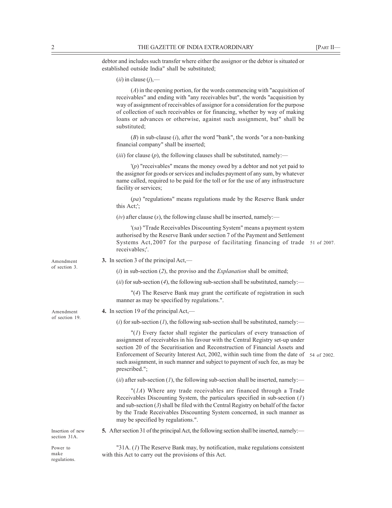2<br>
THE GAZETTE OF INDIA EXTRAORDINARY [PART II—<br>
debtor and includes such transfer where either the assignor or the debtor is situated or<br>
established outside India" shall be substituted;<br>
(i) in clause (j),—<br>
(c) in the debtor and includes such transfer where either the assignor or the debtor is situated or established outside India" shall be substituted;

 $(ii)$  in clause  $(i)$ ,—

(A) in the opening portion, for the words commencing with "acquisition of receivables" and ending with "any receivables but", the words "acquisition by way of assignment of receivables of assignor for a consideration for the purpose of collection of such receivables or for financing, whether by way of making loans or advances or otherwise, against such assignment, but" shall be substituted; (*ii*) in clause (*j*),—<br>
(*d*) in the opening portion, for the words commencing with "acquisition of<br>
receivables" and ending with "any receivables but", the words "acquisition by<br>
way of assigment of receivables of assi

 $(B)$  in sub-clause  $(i)$ , after the word "bank", the words "or a non-banking financial company" shall be inserted;

(iii) for clause  $(p)$ , the following clauses shall be substituted, namely:—

 $(p)$  "receivables" means the money owed by a debtor and not yet paid to the assignor for goods or services and includes payment of any sum, by whatever name called, required to be paid for the toll or for the use of any infrastructure facility or services;

(pa) "regulations" means regulations made by the Reserve Bank under this Act;';

 $(iv)$  after clause  $(s)$ , the following clause shall be inserted, namely:—

'(sa) "Trade Receivables Discounting System" means a payment system authorised by the Reserve Bank under section 7 of the Payment and Settlement receivables;'. Systems Act, 2007 for the purpose of facilitating financing of trade 51 of 2007.

of section 3.

of section 19

Amendment 3. In section 3 of the principal Act,—

(i) in sub-section (2), the proviso and the *Explanation* shall be omitted;

(ii) for sub-section (4), the following sub-section shall be substituted, namely:—

"(4) The Reserve Bank may grant the certificate of registration in such manner as may be specified by regulations.".

Amendment **4.** In section 19 of the principal Act,—

(i) for sub-section (*I*), the following sub-section shall be substituted, namely:—

 $''(1)$  Every factor shall register the particulars of every transaction of assignment of receivables in his favour with the Central Registry set-up under section 20 of the Securitisation and Reconstruction of Financial Assets and Enforcement of Security Interest Act, 2002, within such time from the date of 54 of 2002. such assignment, in such manner and subject to payment of such fee, as may be prescribed.";

(ii) after sub-section (1), the following sub-section shall be inserted, namely:—

 $''(1A)$  Where any trade receivables are financed through a Trade Receivables Discounting System, the particulars specified in sub-section (1) and sub-section (3) shall be filed with the Central Registry on behalf of the factor by the Trade Receivables Discounting System concerned, in such manner as may be specified by regulations.".

Insertion of new **5.** After section 31 of the principal Act, the following section shall be inserted, namely: section 31A.

regulations.

"31A. (1) The Reserve Bank may, by notification, make regulations consistent Power to make with this Act to carry out the provisions of this Act.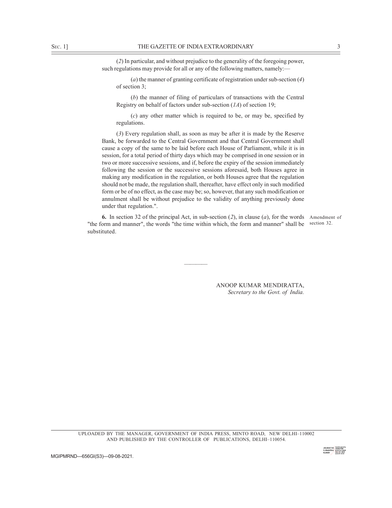SEC. 1] THE GAZETTE OF INDIA EXTRAORDINARY 3<br>
(2) In particular, and without prejudice to the generality of the foregoing power,<br>
such regulations may provide for all or any of the following matters, namely:—<br>
(a) the mann (2) In particular, and without prejudice to the generality of the foregoing power, such regulations may provide for all or any of the following matters, namely:—

(a) the manner of granting certificate of registration under sub-section  $(4)$ of section 3;

(b) the manner of filing of particulars of transactions with the Central Registry on behalf of factors under sub-section  $(1A)$  of section 19;

(c) any other matter which is required to be, or may be, specified by regulations.

(3) Every regulation shall, as soon as may be after it is made by the Reserve Bank, be forwarded to the Central Government and that Central Government shall cause a copy of the same to be laid before each House of Parliament, while it is in session, for a total period of thirty days which may be comprised in one session or in two or more successive sessions, and if, before the expiry of the session immediately following the session or the successive sessions aforesaid, both Houses agree in making any modification in the regulation, or both Houses agree that the regulation should not be made, the regulation shall, thereafter, have effect only in such modified form or be of no effect, as the case may be; so, however, that any such modification or annulment shall be without prejudice to the validity of anything previously done under that regulation.".

**6.** In section 32 of the principal Act, in sub-section  $(2)$ , in clause  $(a)$ , for the words Amendment of "the form and manner", the words "the time within which, the form and manner" shall be section 32. substituted.

and the second control of the second control of the second control of the second control of the second control

ANOOP KUMAR MENDIRATTA, Secretary to the Govt. of India.

UPLOADED BY THE MANAGER, GOVERNMENT OF INDIA PRESS, MINTO ROAD, NEW DELHI–110002 AND PUBLISHED BY THE CONTROLLER OF PUBLICATIONS, DELHI–110054.

MGIPMRND—656GI(S3)—09-08-2021.